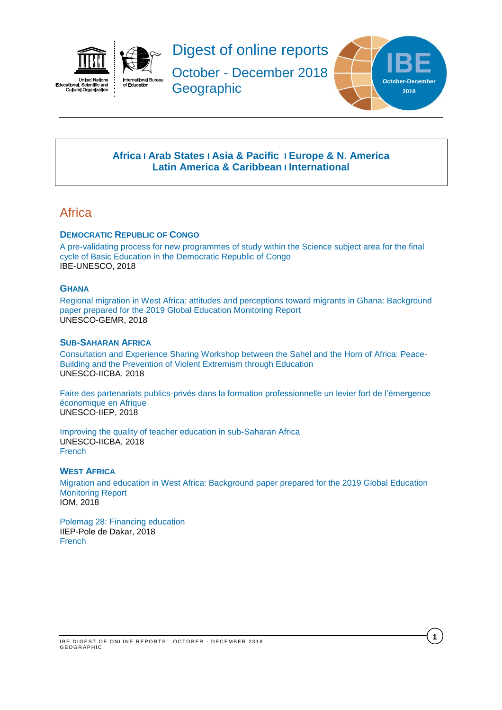



Digest of online reports

October - December 2018 **Geographic** 



**1**

## **[Africa](#page-0-0) I [Arab States](#page-1-0) I [Asia & Pacific](#page-1-1) I [Europe & N. America](#page-2-0) [Latin America](#page-2-1) & Caribbean I [International](#page-2-2)**

## <span id="page-0-0"></span>**Africa**

### **DEMOCRATIC REPUBLIC OF CONGO**

[A pre-validating process for new programmes of study within the Science subject area for the final](http://unesdoc.unesco.org/images/0026/002659/265990E.pdf)  [cycle of Basic Education in the Democratic Republic of Congo](http://unesdoc.unesco.org/images/0026/002659/265990E.pdf) IBE-UNESCO, 2018

### **GHANA**

[Regional migration in West Africa: attitudes and perceptions toward migrants in Ghana: Background](http://unesdoc.unesco.org/images/0026/002660/266052e.pdf)  [paper prepared for the 2019 Global Education Monitoring Report](http://unesdoc.unesco.org/images/0026/002660/266052e.pdf) UNESCO-GEMR, 2018

### **SUB-SAHARAN AFRICA**

[Consultation and Experience Sharing Workshop between the Sahel and the Horn of Africa: Peace-](http://unesdoc.unesco.org/images/0026/002657/265707e.pdf)[Building and the Prevention of Violent Extremism through Education](http://unesdoc.unesco.org/images/0026/002657/265707e.pdf) UNESCO-IICBA, 2018

[Faire des partenariats publics-privés dans la formation professionnelle un levier fort de l'émergence](http://unesdoc.unesco.org/images/0026/002659/265907f.pdf)  [économique en Afrique](http://unesdoc.unesco.org/images/0026/002659/265907f.pdf) UNESCO-IIEP, 2018

[Improving the quality of teacher education in sub-Saharan Africa](http://unesdoc.unesco.org/images/0026/002606/260604e.pdf) UNESCO-IICBA, 2018 [French](http://unesdoc.unesco.org/images/0026/002619/261941f.pdf)

### **WEST AFRICA**

[Migration and education in West Africa: Background paper prepared for the 2019 Global Education](http://unesdoc.unesco.org/images/0026/002660/266062e.pdf)  [Monitoring Report](http://unesdoc.unesco.org/images/0026/002660/266062e.pdf) IOM, 2018

[Polemag 28: Financing education](https://unesdoc.unesco.org/ark:/48223/pf0000266246_fre) IIEP-Pole de Dakar, 2018 **[French](https://unesdoc.unesco.org/ark:/48223/pf0000266246_fre)**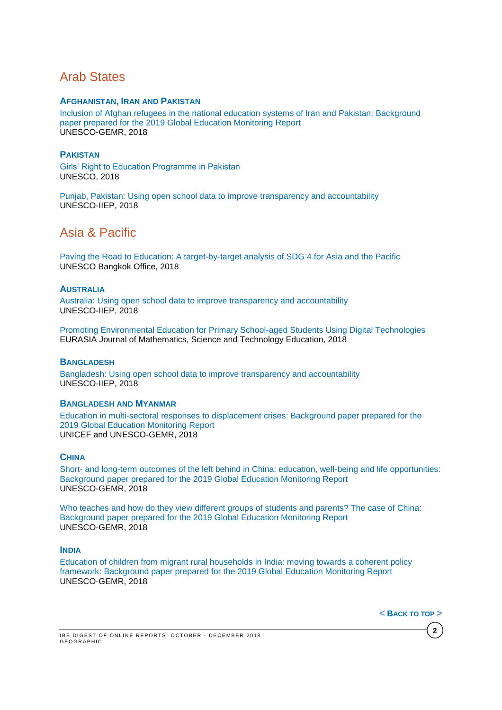## <span id="page-1-0"></span>Arab States

### **AFGHANISTAN, IRAN AND PAKISTAN**

[Inclusion of Afghan refugees in the national education systems of Iran and Pakistan: Background](http://unesdoc.unesco.org/images/0026/002660/266055e.pdf)  [paper prepared for the 2019 Global Education Monitoring Report](http://unesdoc.unesco.org/images/0026/002660/266055e.pdf)  UNESCO-GEMR, 2018

### **PAKISTAN**

[Girls' Right to Education Programme in Pakistan](http://unesdoc.unesco.org/images/0026/002658/265885e.pdf) UNESCO, 2018

[Punjab, Pakistan: Using open school data to improve transparency and accountability](http://unesdoc.unesco.org/images/0026/002659/265937e.pdf) UNESCO-IIEP, 2018

# <span id="page-1-1"></span>Asia & Pacific

[Paving the Road to Education: A target-by-target analysis of SDG 4 for Asia and the Pacific](http://unesdoc.unesco.org/images/0026/002659/265912e.pdf) UNESCO Bangkok Office, 2018

### **AUSTRALIA**

[Australia: Using open school data to improve transparency and accountability](http://unesdoc.unesco.org/images/0026/002659/265929e.pdf) UNESCO-IIEP, 2018

[Promoting Environmental Education for Primary School-aged Students Using Digital Technologies](http://www.ejmste.com/Promoting-Environmental-Education-for-Primary-School-aged-Students-Using-Digital,100639,0,2.html) EURASIA Journal of Mathematics, Science and Technology Education, 2018

### **BANGLADESH**

[Bangladesh: Using open school data to improve transparency and accountability](http://unesdoc.unesco.org/images/0026/002659/265930e.pdf) UNESCO-IIEP, 2018

### **BANGLADESH AND MYANMAR**

[Education in multi-sectoral responses to displacement crises: Background paper prepared for the](http://unesdoc.unesco.org/images/0026/002660/266059e.pdf)  [2019 Global Education Monitoring Report](http://unesdoc.unesco.org/images/0026/002660/266059e.pdf) UNICEF and UNESCO-GEMR, 2018

### **CHINA**

Short- [and long-term outcomes of the left behind in China: education, well-being and life opportunities:](http://unesdoc.unesco.org/images/0026/002660/266050e.pdf)  [Background paper prepared for the 2019 Global Education Monitoring Report](http://unesdoc.unesco.org/images/0026/002660/266050e.pdf) UNESCO-GEMR, 2018

[Who teaches and how do they view different groups of students and parents? The case of China:](http://unesdoc.unesco.org/images/0026/002660/266051e.pdf)  [Background paper prepared for the 2019 Global Education Monitoring Report](http://unesdoc.unesco.org/images/0026/002660/266051e.pdf) UNESCO-GEMR, 2018

### **INDIA**

[Education of children from migrant rural households in India: moving towards a coherent policy](http://unesdoc.unesco.org/images/0026/002660/266057e.pdf)  [framework: Background paper prepared for the 2019 Global Education Monitoring Report](http://unesdoc.unesco.org/images/0026/002660/266057e.pdf) UNESCO-GEMR, 2018

**< B[ACK](#page-0-0) TO TOP >**

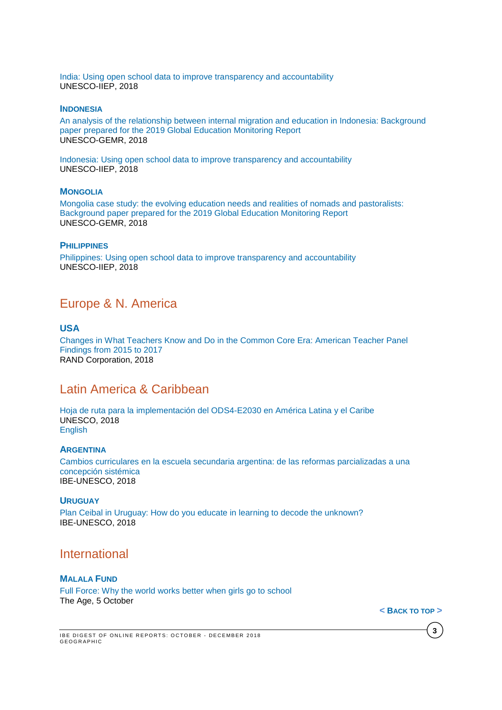[India: Using open school data to improve transparency and accountability](http://unesdoc.unesco.org/images/0026/002659/265933e.pdf) UNESCO-IIEP, 2018

#### **INDONESIA**

[An analysis of the relationship between internal migration and education in Indonesia: Background](http://unesdoc.unesco.org/images/0026/002660/266053e.pdf)  [paper prepared for the 2019 Global Education Monitoring Report](http://unesdoc.unesco.org/images/0026/002660/266053e.pdf) UNESCO-GEMR, 2018

[Indonesia: Using open school data to improve transparency and accountability](http://unesdoc.unesco.org/images/0026/002659/265934e.pdf) UNESCO-IIEP, 2018

### **MONGOLIA**

[Mongolia case study: the evolving education needs and realities of nomads and pastoralists:](http://unesdoc.unesco.org/images/0026/002660/266056e.pdf)  [Background paper prepared for the 2019 Global Education Monitoring Report](http://unesdoc.unesco.org/images/0026/002660/266056e.pdf) UNESCO-GEMR, 2018

### **PHILIPPINES**

[Philippines: Using open school data to improve transparency and accountability](http://unesdoc.unesco.org/images/0026/002659/265938e.pdf) UNESCO-IIEP, 2018

## <span id="page-2-0"></span>Europe & N. America

### **USA**

[Changes in What Teachers Know and Do in the Common Core Era: American Teacher Panel](https://www.rand.org/pubs/research_reports/RR2658.html)  [Findings from 2015 to 2017](https://www.rand.org/pubs/research_reports/RR2658.html) RAND Corporation, 2018

## <span id="page-2-1"></span>Latin America & Caribbean

[Hoja de ruta para la implementación del ODS4-E2030 en América Latina y el Caribe](http://unesdoc.unesco.org/images/0026/002658/265870s.pdf) UNESCO, 2018 [English](http://unesdoc.unesco.org/images/0026/002658/265870e.pdf)

### **ARGENTINA**

[Cambios curriculares en la escuela secundaria argentina: de las reformas parcializadas a una](http://unesdoc.unesco.org/images/0026/002659/265992S.pdf)  [concepción sistémica](http://unesdoc.unesco.org/images/0026/002659/265992S.pdf) IBE-UNESCO, 2018

### **URUGUAY**

[Plan Ceibal in Uruguay: How do you educate in learning to decode the unknown?](http://unesdoc.unesco.org/images/0026/002659/265994E.pdf) IBE-UNESCO, 2018

## <span id="page-2-2"></span>International

### **MALALA FUND**

[Full Force: Why the world works better when girls go to school](https://indd.adobe.com/view/dd1081b1-39b6-4637-9c61-ac0cbb275b45) The Age, 5 October

**< B[ACK](#page-0-0) TO TOP >**

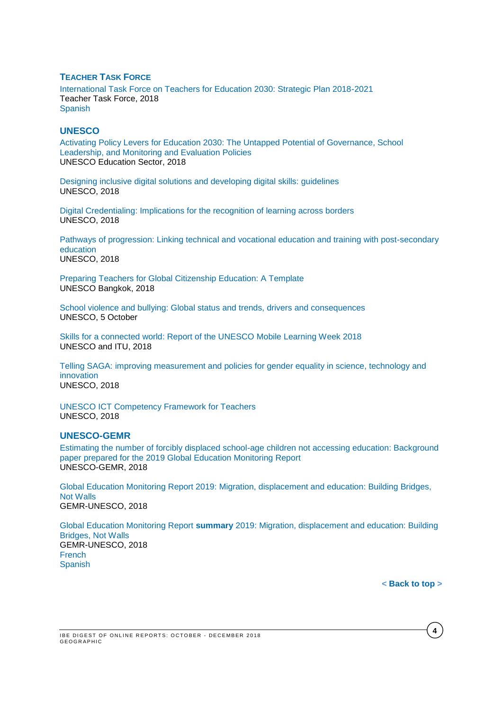### **TEACHER TASK FORCE**

[International Task Force on Teachers for Education 2030: Strategic Plan 2018-2021](http://unesdoc.unesco.org/images/0026/002617/261708e.pdf) Teacher Task Force, 2018 [Spanish](http://unesdoc.unesco.org/images/0026/002617/261708s.pdf)

#### **UNESCO**

[Activating Policy Levers for Education 2030: The Untapped Potential of Governance, School](http://unesdoc.unesco.org/images/0026/002659/265951e.pdf)  [Leadership, and Monitoring and Evaluation Policies](http://unesdoc.unesco.org/images/0026/002659/265951e.pdf) UNESCO Education Sector, 2018

[Designing inclusive digital solutions and developing digital skills: guidelines](http://unesdoc.unesco.org/images/0026/002655/265537e.pdf) UNESCO, 2018

[Digital Credentialing: Implications for the recognition of learning across borders](http://unesdoc.unesco.org/images/0026/002644/264428e.pdf) UNESCO, 2018

[Pathways of progression: Linking technical and vocational education and training with post-secondary](http://unesdoc.unesco.org/images/0026/002659/265943e.pdf)  [education](http://unesdoc.unesco.org/images/0026/002659/265943e.pdf) UNESCO, 2018

[Preparing Teachers for Global Citizenship Education: A Template](http://unesdoc.unesco.org/images/0026/002654/265452e.pdf) UNESCO Bangkok, 2018

[School violence and bullying: Global status and trends, drivers and consequences](http://unesdoc.unesco.org/images/0026/002657/265781e.pdf) UNESCO, 5 October

[Skills for a connected world: Report of the UNESCO Mobile Learning Week 2018](http://unesdoc.unesco.org/images/0026/002658/265893e.pdf) UNESCO and ITU, 2018

[Telling SAGA: improving measurement and policies for gender equality in science, technology and](http://unesdoc.unesco.org/images/0026/002661/266102e.pdf) [innovation](http://unesdoc.unesco.org/images/0026/002661/266102e.pdf) UNESCO, 2018

[UNESCO ICT Competency Framework for Teachers](http://unesdoc.unesco.org/images/0026/002657/265721e.pdf) UNESCO, 2018

#### **UNESCO-GEMR**

[Estimating the number of forcibly displaced school-age children not accessing education: Background](http://unesdoc.unesco.org/images/0026/002660/266061e.pdf)  [paper prepared for the 2019 Global Education Monitoring Report](http://unesdoc.unesco.org/images/0026/002660/266061e.pdf)  UNESCO-GEMR, 2018

[Global Education Monitoring Report 2019: Migration, displacement and education: Building Bridges,](http://unesdoc.unesco.org/images/0026/002658/265866e.pdf)  [Not Walls](http://unesdoc.unesco.org/images/0026/002658/265866e.pdf) GEMR-UNESCO, 2018

Global Education Monitoring Report **summary** [2019: Migration, displacement and education: Building](http://unesdoc.unesco.org/images/0026/002659/265996e.pdf)  [Bridges, Not Walls](http://unesdoc.unesco.org/images/0026/002659/265996e.pdf) GEMR-UNESCO, 2018 **[French](http://unesdoc.unesco.org/images/0026/002659/265996f.pdf) [Spanish](http://unesdoc.unesco.org/images/0026/002659/265996s.pdf)** 

**< [Back](#page-0-0) to top >**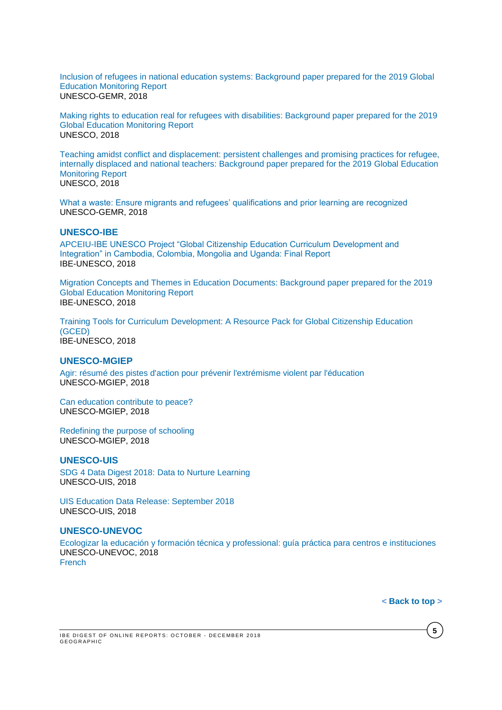[Inclusion of refugees in national education systems: Background paper prepared for the 2019 Global](http://unesdoc.unesco.org/images/0026/002660/266054e.pdf)  [Education Monitoring Report](http://unesdoc.unesco.org/images/0026/002660/266054e.pdf) UNESCO-GEMR, 2018

[Making rights to education real for refugees with disabilities: Background paper prepared for the 2019](http://unesdoc.unesco.org/images/0026/002660/266058e.pdf)  [Global Education Monitoring Report](http://unesdoc.unesco.org/images/0026/002660/266058e.pdf) UNESCO, 2018

[Teaching amidst conflict and displacement: persistent challenges and promising practices for refugee,](http://unesdoc.unesco.org/images/0026/002660/266060e.pdf)  [internally displaced and national teachers: Background paper prepared for the 2019 Global Education](http://unesdoc.unesco.org/images/0026/002660/266060e.pdf)  [Monitoring Report](http://unesdoc.unesco.org/images/0026/002660/266060e.pdf) UNESCO, 2018

[What a waste: Ensure migrants and refugees' qualifications and prior learning are recognized](https://unesdoc.unesco.org/ark:/48223/pf0000366312) UNESCO-GEMR, 2018

#### **UNESCO-IBE**

[APCEIU-IBE UNESCO Project "Global Citizenship Education Curriculum Development and](https://unesdoc.unesco.org/ark:/48223/pf0000366294?posInSet=1&queryId=27f26775-03ea-4fe1-8318-d516dfe6593f)  [Integration" in Cambodia, Colombia, Mongolia and Uganda: Final Report](https://unesdoc.unesco.org/ark:/48223/pf0000366294?posInSet=1&queryId=27f26775-03ea-4fe1-8318-d516dfe6593f) IBE-UNESCO, 2018

[Migration Concepts and Themes in Education Documents: Background paper prepared for the 2019](https://unesdoc.unesco.org/ark:/48223/pf0000266049?posInSet=1&queryId=5b6fcd94-570d-4d95-a91b-ecf554fc7823)  [Global Education Monitoring Report](https://unesdoc.unesco.org/ark:/48223/pf0000266049?posInSet=1&queryId=5b6fcd94-570d-4d95-a91b-ecf554fc7823)  IBE-UNESCO, 2018

Training Tools for Curriculum [Development: A Resource Pack for](https://unesdoc.unesco.org/ark:/48223/pf0000366288?posInSet=1&queryId=8362eb48-91e4-45f4-87b6-f01b5d526dac) Global Citizenship Education [\(GCED\)](https://unesdoc.unesco.org/ark:/48223/pf0000366288?posInSet=1&queryId=8362eb48-91e4-45f4-87b6-f01b5d526dac) IBE-UNESCO, 2018

#### **UNESCO-MGIEP**

[Agir: résumé des pistes d'action pour prévenir l'extrémisme violent par l'éducation](http://unesdoc.unesco.org/images/0026/002657/265753f.pdf) UNESCO-MGIEP, 2018

[Can education contribute to peace?](https://unesdoc.unesco.org/ark:/48223/pf0000366298) UNESCO-MGIEP, 2018

[Redefining the purpose of schooling](https://unesdoc.unesco.org/ark:/48223/pf0000366297) UNESCO-MGIEP, 2018

### **UNESCO-UIS**

[SDG 4 Data Digest 2018: Data to Nurture Learning](http://uis.unesco.org/sites/default/files/documents/sdg4-data-digest-data-nurture-learning-2018-en.pdf) UNESCO-UIS, 2018

[UIS Education Data Release: September 2018](http://uis.unesco.org/sites/default/files/documents/ip55-uis-education-data-release-september-2018_1.pdf) UNESCO-UIS, 2018

### **UNESCO-UNEVOC**

[Ecologizar la educación y formación técnica y professional: guía práctica para centros e instituciones](http://unesdoc.unesco.org/images/0026/002654/265493s.pdf) UNESCO-UNEVOC, 2018 [French](http://unesdoc.unesco.org/images/0025/002599/259970f.pdf)

**< [Back](#page-0-0) to top >**

**5**